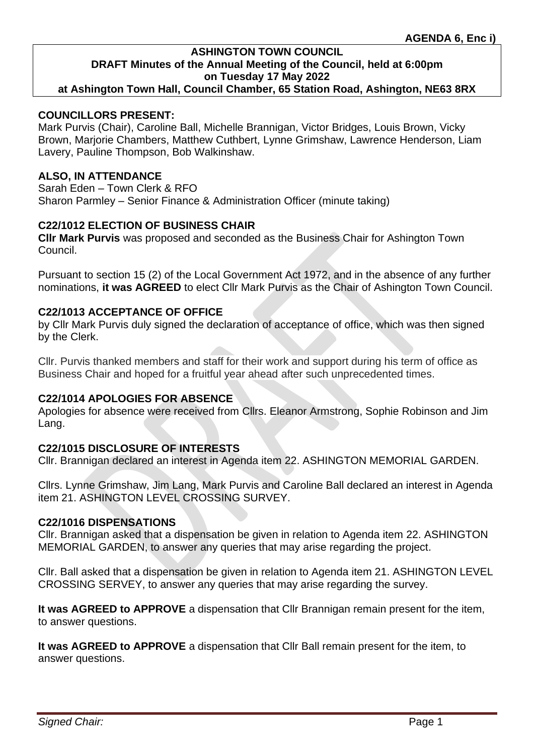**at Ashington Town Hall, Council Chamber, 65 Station Road, Ashington, NE63 8RX**

#### **COUNCILLORS PRESENT:**

Mark Purvis (Chair), Caroline Ball, Michelle Brannigan, Victor Bridges, Louis Brown, Vicky Brown, Marjorie Chambers, Matthew Cuthbert, Lynne Grimshaw, Lawrence Henderson, Liam Lavery, Pauline Thompson, Bob Walkinshaw.

### **ALSO, IN ATTENDANCE**

Sarah Eden – Town Clerk & RFO Sharon Parmley – Senior Finance & Administration Officer (minute taking)

# **C22/1012 ELECTION OF BUSINESS CHAIR**

**Cllr Mark Purvis** was proposed and seconded as the Business Chair for Ashington Town Council.

Pursuant to section 15 (2) of the Local Government Act 1972, and in the absence of any further nominations, **it was AGREED** to elect Cllr Mark Purvis as the Chair of Ashington Town Council.

# **C22/1013 ACCEPTANCE OF OFFICE**

by Cllr Mark Purvis duly signed the declaration of acceptance of office, which was then signed by the Clerk.

Cllr. Purvis thanked members and staff for their work and support during his term of office as Business Chair and hoped for a fruitful year ahead after such unprecedented times.

#### **C22/1014 APOLOGIES FOR ABSENCE**

Apologies for absence were received from Cllrs. Eleanor Armstrong, Sophie Robinson and Jim Lang.

# **C22/1015 DISCLOSURE OF INTERESTS**

Cllr. Brannigan declared an interest in Agenda item 22. ASHINGTON MEMORIAL GARDEN.

Cllrs. Lynne Grimshaw, Jim Lang, Mark Purvis and Caroline Ball declared an interest in Agenda item 21. ASHINGTON LEVEL CROSSING SURVEY.

#### **C22/1016 DISPENSATIONS**

Cllr. Brannigan asked that a dispensation be given in relation to Agenda item 22. ASHINGTON MEMORIAL GARDEN, to answer any queries that may arise regarding the project.

Cllr. Ball asked that a dispensation be given in relation to Agenda item 21. ASHINGTON LEVEL CROSSING SERVEY, to answer any queries that may arise regarding the survey.

**It was AGREED to APPROVE** a dispensation that Cllr Brannigan remain present for the item, to answer questions.

**It was AGREED to APPROVE** a dispensation that Cllr Ball remain present for the item, to answer questions.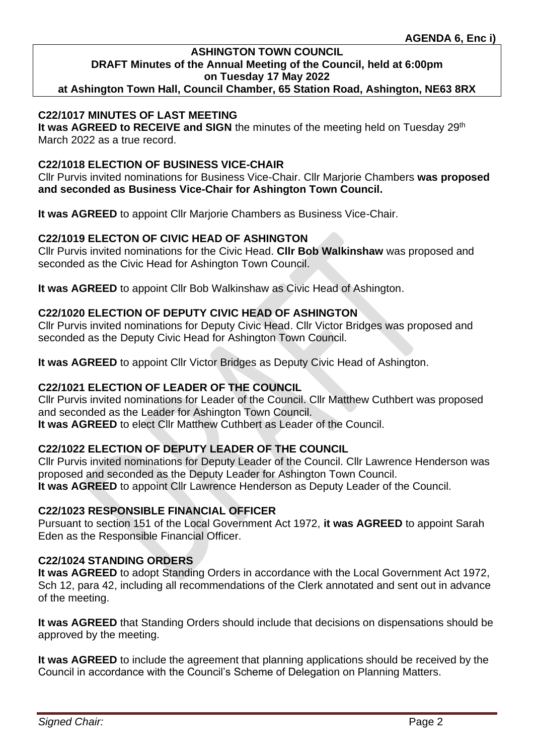**at Ashington Town Hall, Council Chamber, 65 Station Road, Ashington, NE63 8RX**

# **C22/1017 MINUTES OF LAST MEETING**

**It was AGREED to RECEIVE and SIGN** the minutes of the meeting held on Tuesday 29<sup>th</sup> March 2022 as a true record.

#### **C22/1018 ELECTION OF BUSINESS VICE-CHAIR**

Cllr Purvis invited nominations for Business Vice-Chair. Cllr Marjorie Chambers **was proposed and seconded as Business Vice-Chair for Ashington Town Council.**

**It was AGREED** to appoint Cllr Marjorie Chambers as Business Vice-Chair.

#### **C22/1019 ELECTON OF CIVIC HEAD OF ASHINGTON**

Cllr Purvis invited nominations for the Civic Head. **Cllr Bob Walkinshaw** was proposed and seconded as the Civic Head for Ashington Town Council.

**It was AGREED** to appoint Cllr Bob Walkinshaw as Civic Head of Ashington.

#### **C22/1020 ELECTION OF DEPUTY CIVIC HEAD OF ASHINGTON**

Cllr Purvis invited nominations for Deputy Civic Head. Cllr Victor Bridges was proposed and seconded as the Deputy Civic Head for Ashington Town Council.

**It was AGREED** to appoint Cllr Victor Bridges as Deputy Civic Head of Ashington.

# **C22/1021 ELECTION OF LEADER OF THE COUNCIL**

Cllr Purvis invited nominations for Leader of the Council. Cllr Matthew Cuthbert was proposed and seconded as the Leader for Ashington Town Council. **It was AGREED** to elect Cllr Matthew Cuthbert as Leader of the Council.

# **C22/1022 ELECTION OF DEPUTY LEADER OF THE COUNCIL**

Cllr Purvis invited nominations for Deputy Leader of the Council. Cllr Lawrence Henderson was proposed and seconded as the Deputy Leader for Ashington Town Council. **It was AGREED** to appoint Cllr Lawrence Henderson as Deputy Leader of the Council.

### **C22/1023 RESPONSIBLE FINANCIAL OFFICER**

Pursuant to section 151 of the Local Government Act 1972, **it was AGREED** to appoint Sarah Eden as the Responsible Financial Officer.

#### **C22/1024 STANDING ORDERS**

**It was AGREED** to adopt Standing Orders in accordance with the Local Government Act 1972, Sch 12, para 42, including all recommendations of the Clerk annotated and sent out in advance of the meeting.

**It was AGREED** that Standing Orders should include that decisions on dispensations should be approved by the meeting.

**It was AGREED** to include the agreement that planning applications should be received by the Council in accordance with the Council's Scheme of Delegation on Planning Matters.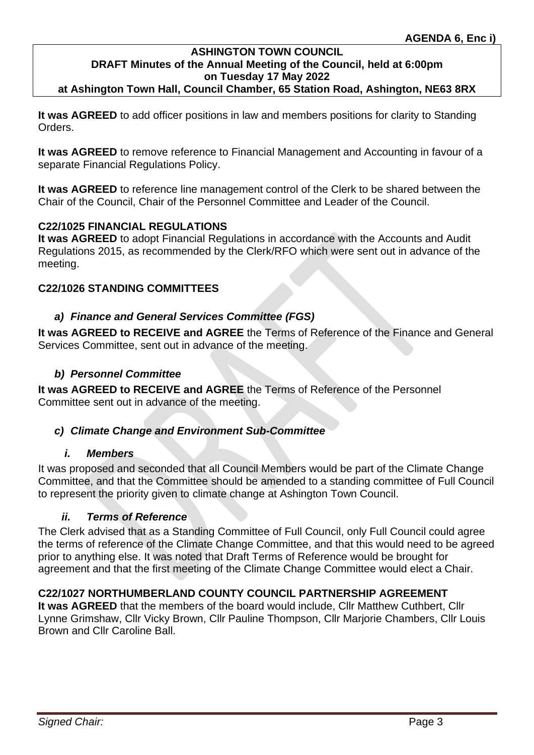**at Ashington Town Hall, Council Chamber, 65 Station Road, Ashington, NE63 8RX**

**It was AGREED** to add officer positions in law and members positions for clarity to Standing Orders.

**It was AGREED** to remove reference to Financial Management and Accounting in favour of a separate Financial Regulations Policy.

**It was AGREED** to reference line management control of the Clerk to be shared between the Chair of the Council, Chair of the Personnel Committee and Leader of the Council.

# **C22/1025 FINANCIAL REGULATIONS**

**It was AGREED** to adopt Financial Regulations in accordance with the Accounts and Audit Regulations 2015, as recommended by the Clerk/RFO which were sent out in advance of the meeting.

# **C22/1026 STANDING COMMITTEES**

#### *a) Finance and General Services Committee (FGS)*

**It was AGREED to RECEIVE and AGREE** the Terms of Reference of the Finance and General Services Committee, sent out in advance of the meeting.

# *b) Personnel Committee*

**It was AGREED to RECEIVE and AGREE** the Terms of Reference of the Personnel Committee sent out in advance of the meeting.

# *c) Climate Change and Environment Sub-Committee*

#### *i. Members*

It was proposed and seconded that all Council Members would be part of the Climate Change Committee, and that the Committee should be amended to a standing committee of Full Council to represent the priority given to climate change at Ashington Town Council.

#### *ii. Terms of Reference*

The Clerk advised that as a Standing Committee of Full Council, only Full Council could agree the terms of reference of the Climate Change Committee, and that this would need to be agreed prior to anything else. It was noted that Draft Terms of Reference would be brought for agreement and that the first meeting of the Climate Change Committee would elect a Chair.

# **C22/1027 NORTHUMBERLAND COUNTY COUNCIL PARTNERSHIP AGREEMENT**

**It was AGREED** that the members of the board would include, Cllr Matthew Cuthbert, Cllr Lynne Grimshaw, Cllr Vicky Brown, Cllr Pauline Thompson, Cllr Marjorie Chambers, Cllr Louis Brown and Cllr Caroline Ball.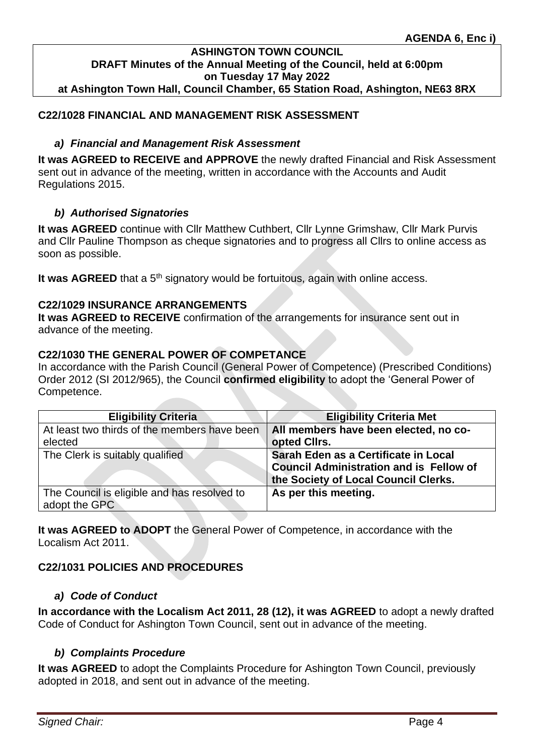#### **ASHINGTON TOWN COUNCIL DRAFT Minutes of the Annual Meeting of the Council, held at 6:00pm on Tuesday 17 May 2022 at Ashington Town Hall, Council Chamber, 65 Station Road, Ashington, NE63 8RX**

# **C22/1028 FINANCIAL AND MANAGEMENT RISK ASSESSMENT**

# *a) Financial and Management Risk Assessment*

**It was AGREED to RECEIVE and APPROVE** the newly drafted Financial and Risk Assessment sent out in advance of the meeting, written in accordance with the Accounts and Audit Regulations 2015.

# *b) Authorised Signatories*

**It was AGREED** continue with Cllr Matthew Cuthbert, Cllr Lynne Grimshaw, Cllr Mark Purvis and Cllr Pauline Thompson as cheque signatories and to progress all Cllrs to online access as soon as possible.

It was AGREED that a 5<sup>th</sup> signatory would be fortuitous, again with online access.

# **C22/1029 INSURANCE ARRANGEMENTS**

**It was AGREED to RECEIVE** confirmation of the arrangements for insurance sent out in advance of the meeting.

# **C22/1030 THE GENERAL POWER OF COMPETANCE**

In accordance with the Parish Council (General Power of Competence) (Prescribed Conditions) Order 2012 (SI 2012/965), the Council **confirmed eligibility** to adopt the 'General Power of Competence.

| <b>Eligibility Criteria</b>                                  | <b>Eligibility Criteria Met</b>                                                                                                |
|--------------------------------------------------------------|--------------------------------------------------------------------------------------------------------------------------------|
| At least two thirds of the members have been<br>elected      | All members have been elected, no co-<br>opted Cllrs.                                                                          |
| The Clerk is suitably qualified                              | Sarah Eden as a Certificate in Local<br><b>Council Administration and is Fellow of</b><br>the Society of Local Council Clerks. |
| The Council is eligible and has resolved to<br>adopt the GPC | As per this meeting.                                                                                                           |

**It was AGREED to ADOPT** the General Power of Competence, in accordance with the Localism Act 2011.

# **C22/1031 POLICIES AND PROCEDURES**

# *a) Code of Conduct*

**In accordance with the Localism Act 2011, 28 (12), it was AGREED** to adopt a newly drafted Code of Conduct for Ashington Town Council, sent out in advance of the meeting.

# *b) Complaints Procedure*

**It was AGREED** to adopt the Complaints Procedure for Ashington Town Council, previously adopted in 2018, and sent out in advance of the meeting.